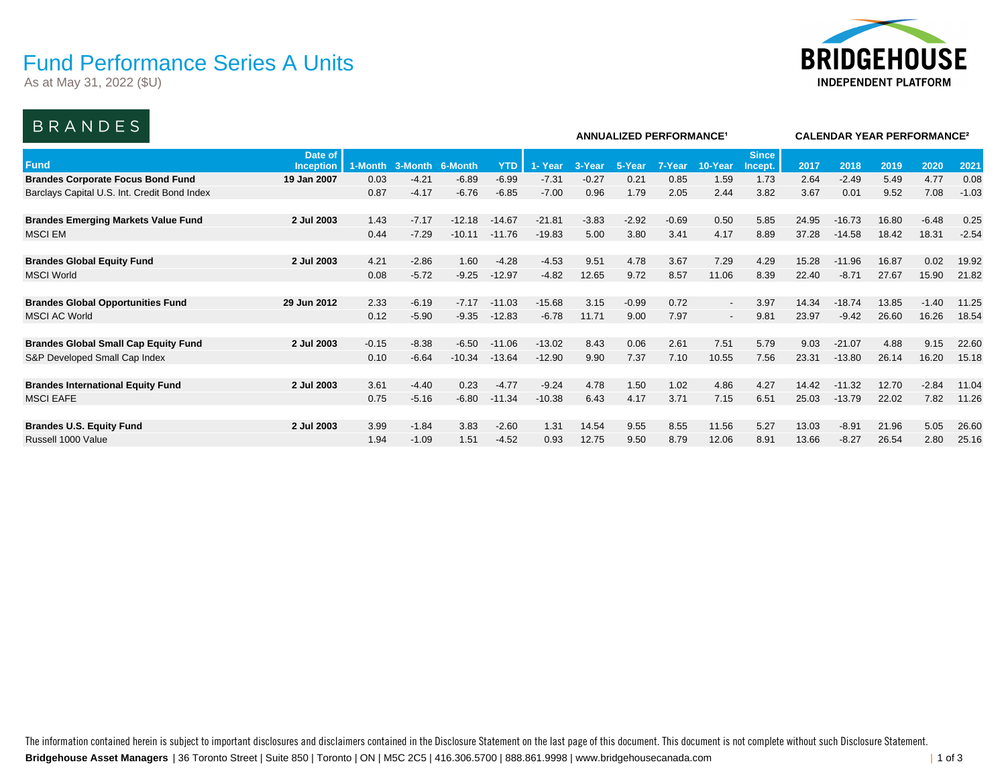### Fund Performance Series A Units

As at May 31, 2022 (\$U)



### BRANDES

| ------------                                 |                      |         |         |          |            |          |         |         | <b>ANNUALIZED PERFORMANCE<sup>1</sup></b> |                          | <b>CALENDAR YEAR PERFORMANCE<sup>2</sup></b> |       |          |       |         |         |
|----------------------------------------------|----------------------|---------|---------|----------|------------|----------|---------|---------|-------------------------------------------|--------------------------|----------------------------------------------|-------|----------|-------|---------|---------|
| <b>Fund</b>                                  | Date of<br>Inception | 1-Month | 3-Month | 6-Month  | <b>YTD</b> | 1- Year  | 3-Year  | 5-Year  | 7-Year                                    | 10-Year                  | <b>Since</b><br>Incept.                      | 2017  | 2018     | 2019  | 2020    | 202'    |
| <b>Brandes Corporate Focus Bond Fund</b>     | 19 Jan 2007          | 0.03    | $-4.21$ | $-6.89$  | $-6.99$    | $-7.31$  | $-0.27$ | 0.21    | 0.85                                      | 1.59                     | 1.73                                         | 2.64  | $-2.49$  | 5.49  | 4.77    | 0.08    |
| Barclays Capital U.S. Int. Credit Bond Index |                      | 0.87    | $-4.17$ | $-6.76$  | $-6.85$    | $-7.00$  | 0.96    | 1.79    | 2.05                                      | 2.44                     | 3.82                                         | 3.67  | 0.01     | 9.52  | 7.08    | $-1.03$ |
|                                              |                      |         |         |          |            |          |         |         |                                           |                          |                                              |       |          |       |         |         |
| <b>Brandes Emerging Markets Value Fund</b>   | 2 Jul 2003           | 1.43    | $-7.17$ | $-12.18$ | $-14.67$   | $-21.81$ | $-3.83$ | $-2.92$ | $-0.69$                                   | 0.50                     | 5.85                                         | 24.95 | $-16.73$ | 16.80 | $-6.48$ | 0.25    |
| <b>MSCI EM</b>                               |                      | 0.44    | $-7.29$ | $-10.11$ | $-11.76$   | $-19.83$ | 5.00    | 3.80    | 3.41                                      | 4.17                     | 8.89                                         | 37.28 | $-14.58$ | 18.42 | 18.31   | $-2.54$ |
| <b>Brandes Global Equity Fund</b>            | 2 Jul 2003           | 4.21    | $-2.86$ | 1.60     | $-4.28$    | $-4.53$  | 9.51    | 4.78    | 3.67                                      | 7.29                     | 4.29                                         | 15.28 | $-11.96$ | 16.87 | 0.02    | 19.92   |
| <b>MSCI World</b>                            |                      | 0.08    | $-5.72$ | $-9.25$  | $-12.97$   | $-4.82$  | 12.65   | 9.72    | 8.57                                      | 11.06                    | 8.39                                         | 22.40 | $-8.71$  | 27.67 | 15.90   | 21.82   |
|                                              |                      |         |         |          |            |          |         |         |                                           |                          |                                              |       |          |       |         |         |
| <b>Brandes Global Opportunities Fund</b>     | 29 Jun 2012          | 2.33    | $-6.19$ | $-7.17$  | $-11.03$   | $-15.68$ | 3.15    | $-0.99$ | 0.72                                      | $\sim$                   | 3.97                                         | 14.34 | $-18.74$ | 13.85 | $-1.40$ | 11.25   |
| <b>MSCI AC World</b>                         |                      | 0.12    | $-5.90$ | $-9.35$  | $-12.83$   | $-6.78$  | 11.71   | 9.00    | 7.97                                      | $\overline{\phantom{a}}$ | 9.81                                         | 23.97 | $-9.42$  | 26.60 | 16.26   | 18.54   |
| <b>Brandes Global Small Cap Equity Fund</b>  | 2 Jul 2003           | $-0.15$ | $-8.38$ | $-6.50$  | $-11.06$   | $-13.02$ | 8.43    | 0.06    | 2.61                                      | 7.51                     | 5.79                                         | 9.03  | $-21.07$ | 4.88  | 9.15    | 22.60   |
| S&P Developed Small Cap Index                |                      | 0.10    | $-6.64$ | $-10.34$ | $-13.64$   | $-12.90$ | 9.90    | 7.37    | 7.10                                      | 10.55                    | 7.56                                         | 23.31 | $-13.80$ | 26.14 | 16.20   | 15.18   |
|                                              |                      |         |         |          |            |          |         |         |                                           |                          |                                              |       |          |       |         |         |
| <b>Brandes International Equity Fund</b>     | 2 Jul 2003           | 3.61    | $-4.40$ | 0.23     | $-4.77$    | $-9.24$  | 4.78    | 1.50    | 1.02                                      | 4.86                     | 4.27                                         | 14.42 | $-11.32$ | 12.70 | $-2.84$ | 11.04   |
| <b>MSCI EAFE</b>                             |                      | 0.75    | $-5.16$ | $-6.80$  | $-11.34$   | $-10.38$ | 6.43    | 4.17    | 3.71                                      | 7.15                     | 6.51                                         | 25.03 | $-13.79$ | 22.02 | 7.82    | 11.26   |
|                                              |                      |         |         |          |            |          |         |         |                                           |                          |                                              |       |          |       |         |         |
| <b>Brandes U.S. Equity Fund</b>              | 2 Jul 2003           | 3.99    | $-1.84$ | 3.83     | $-2.60$    | 1.31     | 14.54   | 9.55    | 8.55                                      | 11.56                    | 5.27                                         | 13.03 | $-8.91$  | 21.96 | 5.05    | 26.60   |
| Russell 1000 Value                           |                      | 1.94    | $-1.09$ | 1.51     | $-4.52$    | 0.93     | 12.75   | 9.50    | 8.79                                      | 12.06                    | 8.91                                         | 13.66 | $-8.27$  | 26.54 | 2.80    | 25.16   |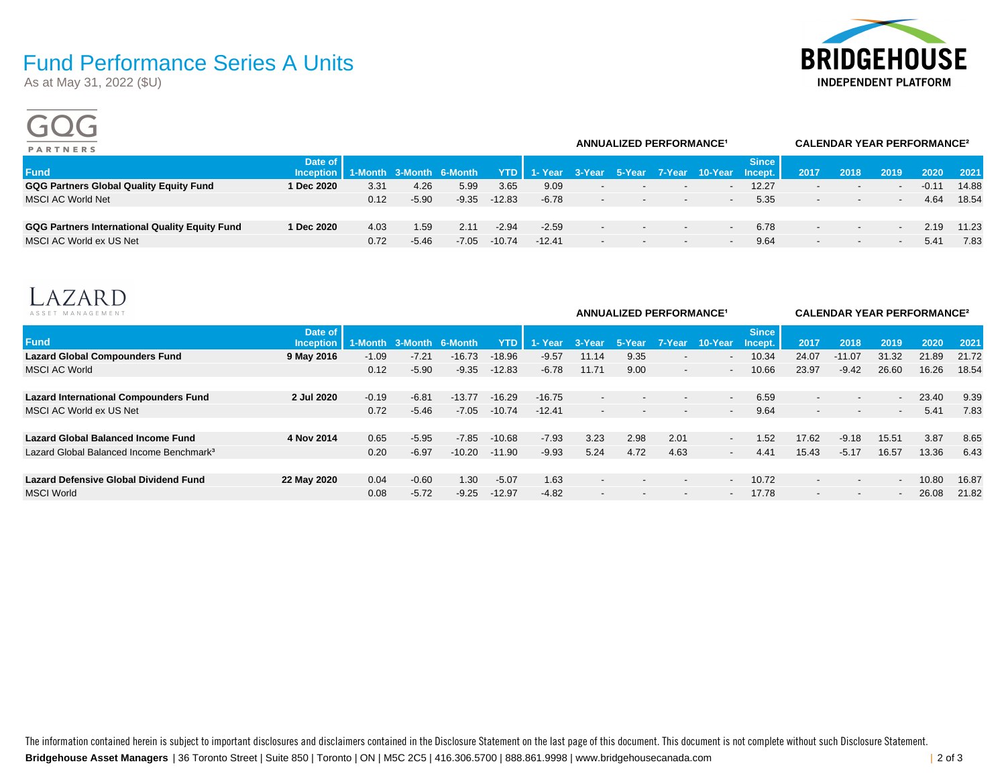# **BRIDGEHOUSE INDEPENDENT PLATFORM**

## Fund Performance Series A Units

As at May 31, 2022 (\$U)

 $\sim$   $\sim$   $\sim$ 

| <b>PARTNERS</b>                                       |                                                |      |         | <b>ANNUALIZED PERFORMANCE<sup>1</sup></b> |          |          | <b>CALENDAR YEAR PERFORMANCE<sup>2</sup></b> |                          |                          |                                              |       |                          |                          |                          |         |       |
|-------------------------------------------------------|------------------------------------------------|------|---------|-------------------------------------------|----------|----------|----------------------------------------------|--------------------------|--------------------------|----------------------------------------------|-------|--------------------------|--------------------------|--------------------------|---------|-------|
| <b>Fund</b>                                           | Date of<br>Inception   1-Month 3-Month 6-Month |      |         |                                           | YTD I    |          |                                              |                          |                          | 1- Year 3-Year 5-Year 7-Year 10-Year Incept. | Since | 2017                     | 2018                     | 2019                     | 2020    | 2021  |
| <b>GQG Partners Global Quality Equity Fund</b>        | 1 Dec 2020                                     | 3.31 | 4.26    | 5.99                                      | 3.65     | 9.09     | $\overline{\phantom{0}}$                     | $\overline{\phantom{a}}$ | $\overline{\phantom{a}}$ | $\overline{\phantom{a}}$                     | 12.27 | $\overline{\phantom{0}}$ | $\overline{\phantom{a}}$ | $\overline{\phantom{a}}$ | $-0.11$ | 14.88 |
| <b>MSCI AC World Net</b>                              |                                                | 0.12 | $-5.90$ | $-9.35$                                   | $-12.83$ | $-6.78$  | $\sim$                                       | $\sim$                   | $\sim$                   | $\sim$                                       | 5.35  | $\sim$                   | $\sim$                   | $\overline{\phantom{a}}$ | 4.64    | 18.54 |
| <b>GQG Partners International Quality Equity Fund</b> | 1 Dec 2020                                     | 4.03 | 1.59    | 2.11                                      | $-2.94$  | $-2.59$  | $\overline{\phantom{0}}$                     | $\sim$                   | $\overline{\phantom{a}}$ | $\overline{\phantom{a}}$                     | 6.78  | $\overline{\phantom{0}}$ | $\overline{\phantom{a}}$ | $\overline{\phantom{a}}$ | 2.19    | 11.23 |
| MSCI AC World ex US Net                               |                                                | 0.72 | $-5.46$ | -7.05                                     | -10.74   | $-12.41$ | $\overline{\phantom{a}}$                     | $\overline{\phantom{a}}$ | $\overline{\phantom{a}}$ | $\overline{\phantom{a}}$                     | 9.64  | $\overline{\phantom{0}}$ | $\overline{\phantom{a}}$ | $\overline{\phantom{a}}$ | 5.41    | 7.83  |
|                                                       |                                                |      |         |                                           |          |          |                                              |                          |                          |                                              |       |                          |                          |                          |         |       |



| ASSET MANAGEMENT                                     |                             |         |                         |          |          |          |                          | <b>ANNUALIZED PERFORMANCE<sup>1</sup></b> |                          | <b>CALENDAR YEAR PERFORMANCE?</b> |                         |                          |                          |                          |       |       |
|------------------------------------------------------|-----------------------------|---------|-------------------------|----------|----------|----------|--------------------------|-------------------------------------------|--------------------------|-----------------------------------|-------------------------|--------------------------|--------------------------|--------------------------|-------|-------|
| <b>Fund</b>                                          | Date of<br><b>Inception</b> |         | 1-Month 3-Month 6-Month |          | YTD I    | 1- Year  | 3-Year                   | 5-Year                                    | 7-Year                   | 10-Year                           | <b>Since</b><br>Incept. | 2017                     | 2018                     | 2019                     | 2020  | 2021  |
| <b>Lazard Global Compounders Fund</b>                | 9 May 2016                  | $-1.09$ | $-7.21$                 | $-16.73$ | $-18.96$ | $-9.57$  | 11.14                    | 9.35                                      |                          | $\overline{\phantom{0}}$          | 10.34                   | 24.07                    | $-11.07$                 | 31.32                    | 21.89 | 21.72 |
| <b>MSCI AC World</b>                                 |                             | 0.12    | $-5.90$                 | $-9.35$  | $-12.83$ | $-6.78$  | 11.71                    | 9.00                                      | $\overline{\phantom{0}}$ | $\overline{\phantom{a}}$          | 10.66                   | 23.97                    | $-9.42$                  | 26.60                    | 16.26 | 18.54 |
|                                                      |                             |         |                         |          |          |          |                          |                                           |                          |                                   |                         |                          |                          |                          |       |       |
| <b>Lazard International Compounders Fund</b>         | 2 Jul 2020                  | $-0.19$ | $-6.81$                 | $-13.77$ | $-16.29$ | $-16.75$ | $\overline{\phantom{0}}$ | $\overline{\phantom{a}}$                  |                          | $\overline{\phantom{a}}$          | 6.59                    | $\overline{\phantom{0}}$ | $\overline{\phantom{a}}$ | $\overline{\phantom{a}}$ | 23.40 | 9.39  |
| MSCI AC World ex US Net                              |                             | 0.72    | $-5.46$                 | $-7.05$  | $-10.74$ | $-12.41$ | $\overline{\phantom{0}}$ | $\overline{\phantom{0}}$                  |                          | $\sim$                            | 9.64                    | $\overline{\phantom{0}}$ | $\overline{\phantom{a}}$ | $\overline{\phantom{a}}$ | 5.41  | 7.83  |
|                                                      |                             |         |                         |          |          |          |                          |                                           |                          |                                   |                         |                          |                          |                          |       |       |
| <b>Lazard Global Balanced Income Fund</b>            | 4 Nov 2014                  | 0.65    | $-5.95$                 | $-7.85$  | $-10.68$ | $-7.93$  | 3.23                     | 2.98                                      | 2.01                     | $\sim$                            | 1.52                    | 17.62                    | $-9.18$                  | 15.51                    | 3.87  | 8.65  |
| Lazard Global Balanced Income Benchmark <sup>3</sup> |                             | 0.20    | $-6.97$                 | $-10.20$ | $-11.90$ | $-9.93$  | 5.24                     | 4.72                                      | 4.63                     | $\sim$                            | 4.41                    | 15.43                    | $-5.17$                  | 16.57                    | 13.36 | 6.43  |
|                                                      |                             |         |                         |          |          |          |                          |                                           |                          |                                   |                         |                          |                          |                          |       |       |
| <b>Lazard Defensive Global Dividend Fund</b>         | 22 May 2020                 | 0.04    | $-0.60$                 | 1.30     | $-5.07$  | 1.63     | $\overline{\phantom{0}}$ | $\overline{\phantom{a}}$                  |                          | $\overline{\phantom{0}}$          | 10.72                   |                          | $\overline{\phantom{a}}$ | $\overline{\phantom{a}}$ | 10.80 | 16.87 |
| <b>MSCI World</b>                                    |                             | 0.08    | $-5.72$                 | $-9.25$  | $-12.97$ | $-4.82$  |                          |                                           |                          | $\overline{\phantom{a}}$          | 17.78                   |                          | $\overline{\phantom{a}}$ | $\overline{\phantom{a}}$ | 26.08 | 21.82 |
|                                                      |                             |         |                         |          |          |          |                          |                                           |                          |                                   |                         |                          |                          |                          |       |       |

**Bridgehouse Asset Managers** | 36 Toronto Street | Suite 850 | Toronto | ON | M5C 2C5 | 416.306.5700 | 888.861.9998 | www.bridgehousecanada.com | 2 of 3 The information contained herein is subject to important disclosures and disclaimers contained in the Disclosure Statement on the last page of this document. This document is not complete without such Disclosure Statement.